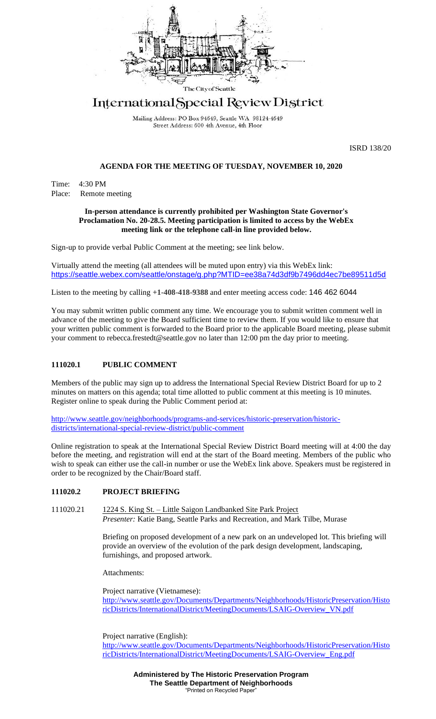

# International Special Review District

Mailing Address: PO Box 94649, Seattle WA 98124-4649 Street Address: 600 4th Avenue, 4th Floor

ISRD 138/20

## **AGENDA FOR THE MEETING OF TUESDAY, NOVEMBER 10, 2020**

Time: 4:30 PM Place: Remote meeting

#### **In-person attendance is currently prohibited per Washington State Governor's Proclamation No. 20-28.5. Meeting participation is limited to access by the WebEx meeting link or the telephone call-in line provided below.**

Sign-up to provide verbal Public Comment at the meeting; see link below.

Virtually attend the meeting (all attendees will be muted upon entry) via this WebEx link: <https://seattle.webex.com/seattle/onstage/g.php?MTID=ee38a74d3df9b7496dd4ec7be89511d5d>

Listen to the meeting by calling **+1-408-418-9388** and enter meeting access code: 146 462 6044

You may submit written public comment any time. We encourage you to submit written comment well in advance of the meeting to give the Board sufficient time to review them. If you would like to ensure that your written public comment is forwarded to the Board prior to the applicable Board meeting, please submit your comment to rebecca.frestedt@seattle.gov no later than 12:00 pm the day prior to meeting.

## **111020.1 PUBLIC COMMENT**

Members of the public may sign up to address the International Special Review District Board for up to 2 minutes on matters on this agenda; total time allotted to public comment at this meeting is 10 minutes. Register online to speak during the Public Comment period at:

[http://www.seattle.gov/neighborhoods/programs-and-services/historic-preservation/historic](http://www.seattle.gov/neighborhoods/programs-and-services/historic-preservation/historic-districts/international-special-review-district/public-comment)[districts/international-special-review-district/public-comment](http://www.seattle.gov/neighborhoods/programs-and-services/historic-preservation/historic-districts/international-special-review-district/public-comment)

Online registration to speak at the International Special Review District Board meeting will at 4:00 the day before the meeting, and registration will end at the start of the Board meeting. Members of the public who wish to speak can either use the call-in number or use the WebEx link above. Speakers must be registered in order to be recognized by the Chair/Board staff.

## **111020.2 PROJECT BRIEFING**

111020.21 1224 S. King St. – Little Saigon Landbanked Site Park Project *Presenter:* Katie Bang, Seattle Parks and Recreation, and Mark Tilbe, Murase

> Briefing on proposed development of a new park on an undeveloped lot. This briefing will provide an overview of the evolution of the park design development, landscaping, furnishings, and proposed artwork.

Attachments:

Project narrative (Vietnamese): [http://www.seattle.gov/Documents/Departments/Neighborhoods/HistoricPreservation/Histo](http://www.seattle.gov/Documents/Departments/Neighborhoods/HistoricPreservation/HistoricDistricts/InternationalDistrict/MeetingDocuments/LSAIG-Overview_VN.pdf) [ricDistricts/InternationalDistrict/MeetingDocuments/LSAIG-Overview\\_VN.pdf](http://www.seattle.gov/Documents/Departments/Neighborhoods/HistoricPreservation/HistoricDistricts/InternationalDistrict/MeetingDocuments/LSAIG-Overview_VN.pdf)

Project narrative (English): [http://www.seattle.gov/Documents/Departments/Neighborhoods/HistoricPreservation/Histo](http://www.seattle.gov/Documents/Departments/Neighborhoods/HistoricPreservation/HistoricDistricts/InternationalDistrict/MeetingDocuments/LSAIG-Overview_Eng.pdf) [ricDistricts/InternationalDistrict/MeetingDocuments/LSAIG-Overview\\_Eng.pdf](http://www.seattle.gov/Documents/Departments/Neighborhoods/HistoricPreservation/HistoricDistricts/InternationalDistrict/MeetingDocuments/LSAIG-Overview_Eng.pdf)

> **Administered by The Historic Preservation Program The Seattle Department of Neighborhoods** "Printed on Recycled Paper"